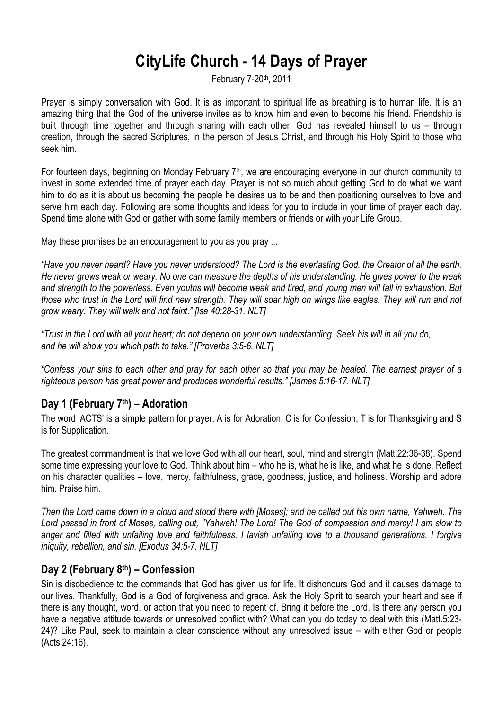# **CityLife Church - 14 Days of Prayer**

February 7-20th, 2011

Prayer is simply conversation with God. It is as important to spiritual life as breathing is to human life. It is an amazing thing that the God of the universe invites as to know him and even to become his friend. Friendship is built through time together and through sharing with each other. God has revealed himself to us – through creation, through the sacred Scriptures, in the person of Jesus Christ, and through his Holy Spirit to those who seek him.

For fourteen days, beginning on Monday February 7<sup>th</sup>, we are encouraging everyone in our church community to invest in some extended time of prayer each day. Prayer is not so much about getting God to do what we want him to do as it is about us becoming the people he desires us to be and then positioning ourselves to love and serve him each day. Following are some thoughts and ideas for you to include in your time of prayer each day. Spend time alone with God or gather with some family members or friends or with your Life Group.

May these promises be an encouragement to you as you pray ...

*"Have you never heard? Have you never understood? The Lord is the everlasting God, the Creator of all the earth. He never grows weak or weary. No one can measure the depths of his understanding. He gives power to the weak and strength to the powerless. Even youths will become weak and tired, and young men will fall in exhaustion. But*  those who trust in the Lord will find new strength. They will soar high on wings like eagles. They will run and not *grow weary. They will walk and not faint." [Isa 40:28-31. NLT]*

*"Trust in the Lord with all your heart; do not depend on your own understanding. Seek his will in all you do, and he will show you which path to take." [Proverbs 3:5-6. NLT]* 

*"Confess your sins to each other and pray for each other so that you may be healed. The earnest prayer of a righteous person has great power and produces wonderful results." [James 5:16-17. NLT]*

# **Day 1 (February 7th) – Adoration**

The word 'ACTS' is a simple pattern for prayer. A is for Adoration, C is for Confession, T is for Thanksgiving and S is for Supplication.

The greatest commandment is that we love God with all our heart, soul, mind and strength (Matt.22:36-38). Spend some time expressing your love to God. Think about him – who he is, what he is like, and what he is done. Reflect on his character qualities – love, mercy, faithfulness, grace, goodness, justice, and holiness. Worship and adore him. Praise him.

*Then the Lord came down in a cloud and stood there with [Moses]; and he called out his own name, Yahweh. The Lord passed in front of Moses, calling out, "Yahweh! The Lord! The God of compassion and mercy! I am slow to anger and filled with unfailing love and faithfulness. I lavish unfailing love to a thousand generations. I forgive iniquity, rebellion, and sin. [Exodus 34:5-7. NLT]*

## **Day 2 (February 8th) – Confession**

Sin is disobedience to the commands that God has given us for life. It dishonours God and it causes damage to our lives. Thankfully, God is a God of forgiveness and grace. Ask the Holy Spirit to search your heart and see if there is any thought, word, or action that you need to repent of. Bring it before the Lord. Is there any person you have a negative attitude towards or unresolved conflict with? What can you do today to deal with this (Matt.5:23- 24)? Like Paul, seek to maintain a clear conscience without any unresolved issue – with either God or people (Acts 24:16).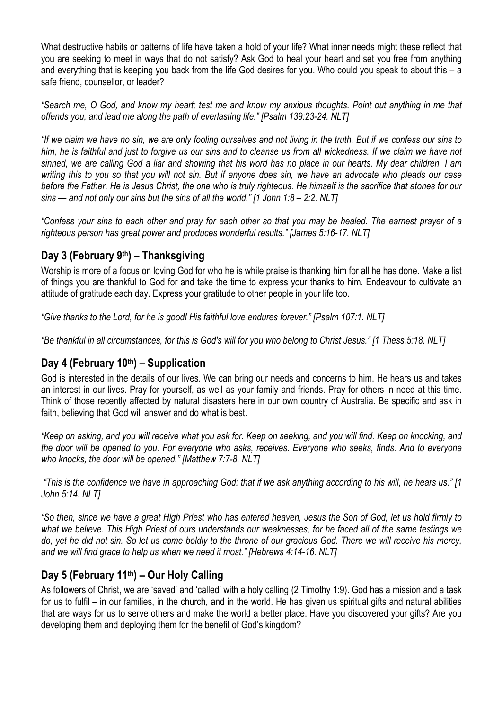What destructive habits or patterns of life have taken a hold of your life? What inner needs might these reflect that you are seeking to meet in ways that do not satisfy? Ask God to heal your heart and set you free from anything and everything that is keeping you back from the life God desires for you. Who could you speak to about this – a safe friend, counsellor, or leader?

*"Search me, O God, and know my heart; test me and know my anxious thoughts. Point out anything in me that offends you, and lead me along the path of everlasting life." [Psalm 139:23-24. NLT]*

*"If we claim we have no sin, we are only fooling ourselves and not living in the truth. But if we confess our sins to*  him, he is faithful and just to forgive us our sins and to cleanse us from all wickedness. If we claim we have not *sinned, we are calling God a liar and showing that his word has no place in our hearts. My dear children, I am writing this to you so that you will not sin. But if anyone does sin, we have an advocate who pleads our case before the Father. He is Jesus Christ, the one who is truly righteous. He himself is the sacrifice that atones for our sins — and not only our sins but the sins of all the world." [1 John 1:8 – 2:2. NLT]*

*"Confess your sins to each other and pray for each other so that you may be healed. The earnest prayer of a righteous person has great power and produces wonderful results." [James 5:16-17. NLT]*

# **Day 3 (February 9th) – Thanksgiving**

Worship is more of a focus on loving God for who he is while praise is thanking him for all he has done. Make a list of things you are thankful to God for and take the time to express your thanks to him. Endeavour to cultivate an attitude of gratitude each day. Express your gratitude to other people in your life too.

*"Give thanks to the Lord, for he is good! His faithful love endures forever." [Psalm 107:1. NLT]*

*"Be thankful in all circumstances, for this is God's will for you who belong to Christ Jesus." [1 Thess.5:18. NLT]*

## **Day 4 (February 10th) – Supplication**

God is interested in the details of our lives. We can bring our needs and concerns to him. He hears us and takes an interest in our lives. Pray for yourself, as well as your family and friends. Pray for others in need at this time. Think of those recently affected by natural disasters here in our own country of Australia. Be specific and ask in faith, believing that God will answer and do what is best.

*"Keep on asking, and you will receive what you ask for. Keep on seeking, and you will find. Keep on knocking, and the door will be opened to you. For everyone who asks, receives. Everyone who seeks, finds. And to everyone who knocks, the door will be opened." [Matthew 7:7-8. NLT]*

*"This is the confidence we have in approaching God: that if we ask anything according to his will, he hears us." [1 John 5:14. NLT]*

*"So then, since we have a great High Priest who has entered heaven, Jesus the Son of God, let us hold firmly to what we believe. This High Priest of ours understands our weaknesses, for he faced all of the same testings we do, yet he did not sin. So let us come boldly to the throne of our gracious God. There we will receive his mercy, and we will find grace to help us when we need it most." [Hebrews 4:14-16. NLT]*

# **Day 5 (February 11th) – Our Holy Calling**

As followers of Christ, we are 'saved' and 'called' with a holy calling (2 Timothy 1:9). God has a mission and a task for us to fulfil – in our families, in the church, and in the world. He has given us spiritual gifts and natural abilities that are ways for us to serve others and make the world a better place. Have you discovered your gifts? Are you developing them and deploying them for the benefit of God's kingdom?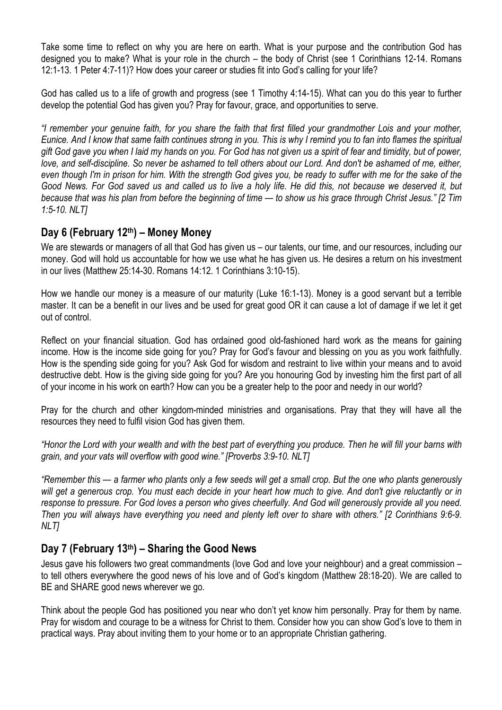Take some time to reflect on why you are here on earth. What is your purpose and the contribution God has designed you to make? What is your role in the church – the body of Christ (see 1 Corinthians 12-14. Romans 12:1-13. 1 Peter 4:7-11)? How does your career or studies fit into God's calling for your life?

God has called us to a life of growth and progress (see 1 Timothy 4:14-15). What can you do this year to further develop the potential God has given you? Pray for favour, grace, and opportunities to serve.

*"I remember your genuine faith, for you share the faith that first filled your grandmother Lois and your mother, Eunice. And I know that same faith continues strong in you. This is why I remind you to fan into flames the spiritual gift God gave you when I laid my hands on you. For God has not given us a spirit of fear and timidity, but of power,*  love, and self-discipline. So never be ashamed to tell others about our Lord. And don't be ashamed of me, either, *even though I'm in prison for him. With the strength God gives you, be ready to suffer with me for the sake of the Good News. For God saved us and called us to live a holy life. He did this, not because we deserved it, but because that was his plan from before the beginning of time — to show us his grace through Christ Jesus." [2 Tim 1:5-10. NLT]*

## **Day 6 (February 12th) – Money Money**

We are stewards or managers of all that God has given us – our talents, our time, and our resources, including our money. God will hold us accountable for how we use what he has given us. He desires a return on his investment in our lives (Matthew 25:14-30. Romans 14:12. 1 Corinthians 3:10-15).

How we handle our money is a measure of our maturity (Luke 16:1-13). Money is a good servant but a terrible master. It can be a benefit in our lives and be used for great good OR it can cause a lot of damage if we let it get out of control.

Reflect on your financial situation. God has ordained good old-fashioned hard work as the means for gaining income. How is the income side going for you? Pray for God's favour and blessing on you as you work faithfully. How is the spending side going for you? Ask God for wisdom and restraint to live within your means and to avoid destructive debt. How is the giving side going for you? Are you honouring God by investing him the first part of all of your income in his work on earth? How can you be a greater help to the poor and needy in our world?

Pray for the church and other kingdom-minded ministries and organisations. Pray that they will have all the resources they need to fulfil vision God has given them.

*"Honor the Lord with your wealth and with the best part of everything you produce. Then he will fill your barns with grain, and your vats will overflow with good wine." [Proverbs 3:9-10. NLT]*

*"Remember this — a farmer who plants only a few seeds will get a small crop. But the one who plants generously*  will get a generous crop. You must each decide in your heart how much to give. And don't give reluctantly or in *response to pressure. For God loves a person who gives cheerfully. And God will generously provide all you need. Then you will always have everything you need and plenty left over to share with others." [2 Corinthians 9:6-9. NLT]*

## **Day 7 (February 13th) – Sharing the Good News**

Jesus gave his followers two great commandments (love God and love your neighbour) and a great commission – to tell others everywhere the good news of his love and of God's kingdom (Matthew 28:18-20). We are called to BE and SHARE good news wherever we go.

Think about the people God has positioned you near who don't yet know him personally. Pray for them by name. Pray for wisdom and courage to be a witness for Christ to them. Consider how you can show God's love to them in practical ways. Pray about inviting them to your home or to an appropriate Christian gathering.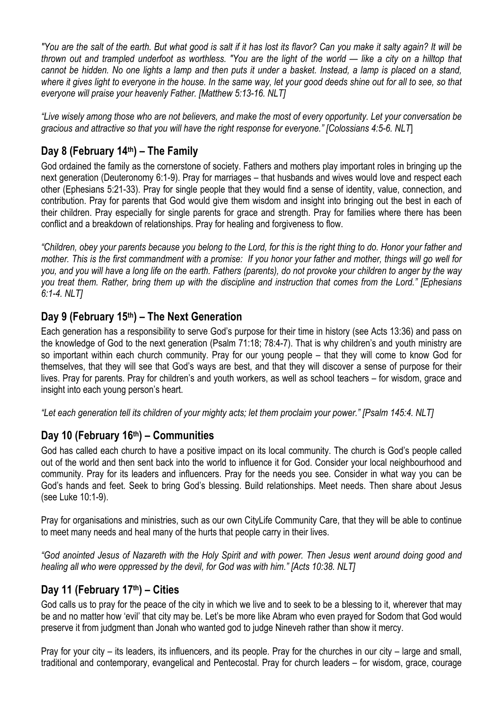*"You are the salt of the earth. But what good is salt if it has lost its flavor? Can you make it salty again? It will be thrown out and trampled underfoot as worthless. "You are the light of the world — like a city on a hilltop that cannot be hidden. No one lights a lamp and then puts it under a basket. Instead, a lamp is placed on a stand, where it gives light to everyone in the house. In the same way, let your good deeds shine out for all to see, so that everyone will praise your heavenly Father. [Matthew 5:13-16. NLT]*

*"Live wisely among those who are not believers, and make the most of every opportunity. Let your conversation be gracious and attractive so that you will have the right response for everyone." [Colossians 4:5-6. NLT*]

# **Day 8 (February 14th) – The Family**

God ordained the family as the cornerstone of society. Fathers and mothers play important roles in bringing up the next generation (Deuteronomy 6:1-9). Pray for marriages – that husbands and wives would love and respect each other (Ephesians 5:21-33). Pray for single people that they would find a sense of identity, value, connection, and contribution. Pray for parents that God would give them wisdom and insight into bringing out the best in each of their children. Pray especially for single parents for grace and strength. Pray for families where there has been conflict and a breakdown of relationships. Pray for healing and forgiveness to flow.

*"Children, obey your parents because you belong to the Lord, for this is the right thing to do. Honor your father and mother. This is the first commandment with a promise: If you honor your father and mother, things will go well for you, and you will have a long life on the earth. Fathers (parents), do not provoke your children to anger by the way you treat them. Rather, bring them up with the discipline and instruction that comes from the Lord." [Ephesians 6:1-4. NLT]*

# **Day 9 (February 15th) – The Next Generation**

Each generation has a responsibility to serve God's purpose for their time in history (see Acts 13:36) and pass on the knowledge of God to the next generation (Psalm 71:18; 78:4-7). That is why children's and youth ministry are so important within each church community. Pray for our young people – that they will come to know God for themselves, that they will see that God's ways are best, and that they will discover a sense of purpose for their lives. Pray for parents. Pray for children's and youth workers, as well as school teachers – for wisdom, grace and insight into each young person's heart.

*"Let each generation tell its children of your mighty acts; let them proclaim your power." [Psalm 145:4. NLT]*

# **Day 10 (February 16th) – Communities**

God has called each church to have a positive impact on its local community. The church is God's people called out of the world and then sent back into the world to influence it for God. Consider your local neighbourhood and community. Pray for its leaders and influencers. Pray for the needs you see. Consider in what way you can be God's hands and feet. Seek to bring God's blessing. Build relationships. Meet needs. Then share about Jesus (see Luke 10:1-9).

Pray for organisations and ministries, such as our own CityLife Community Care, that they will be able to continue to meet many needs and heal many of the hurts that people carry in their lives.

*"God anointed Jesus of Nazareth with the Holy Spirit and with power. Then Jesus went around doing good and healing all who were oppressed by the devil, for God was with him." [Acts 10:38. NLT]*

# **Day 11 (February 17th) – Cities**

God calls us to pray for the peace of the city in which we live and to seek to be a blessing to it, wherever that may be and no matter how 'evil' that city may be. Let's be more like Abram who even prayed for Sodom that God would preserve it from judgment than Jonah who wanted god to judge Nineveh rather than show it mercy.

Pray for your city – its leaders, its influencers, and its people. Pray for the churches in our city – large and small, traditional and contemporary, evangelical and Pentecostal. Pray for church leaders – for wisdom, grace, courage